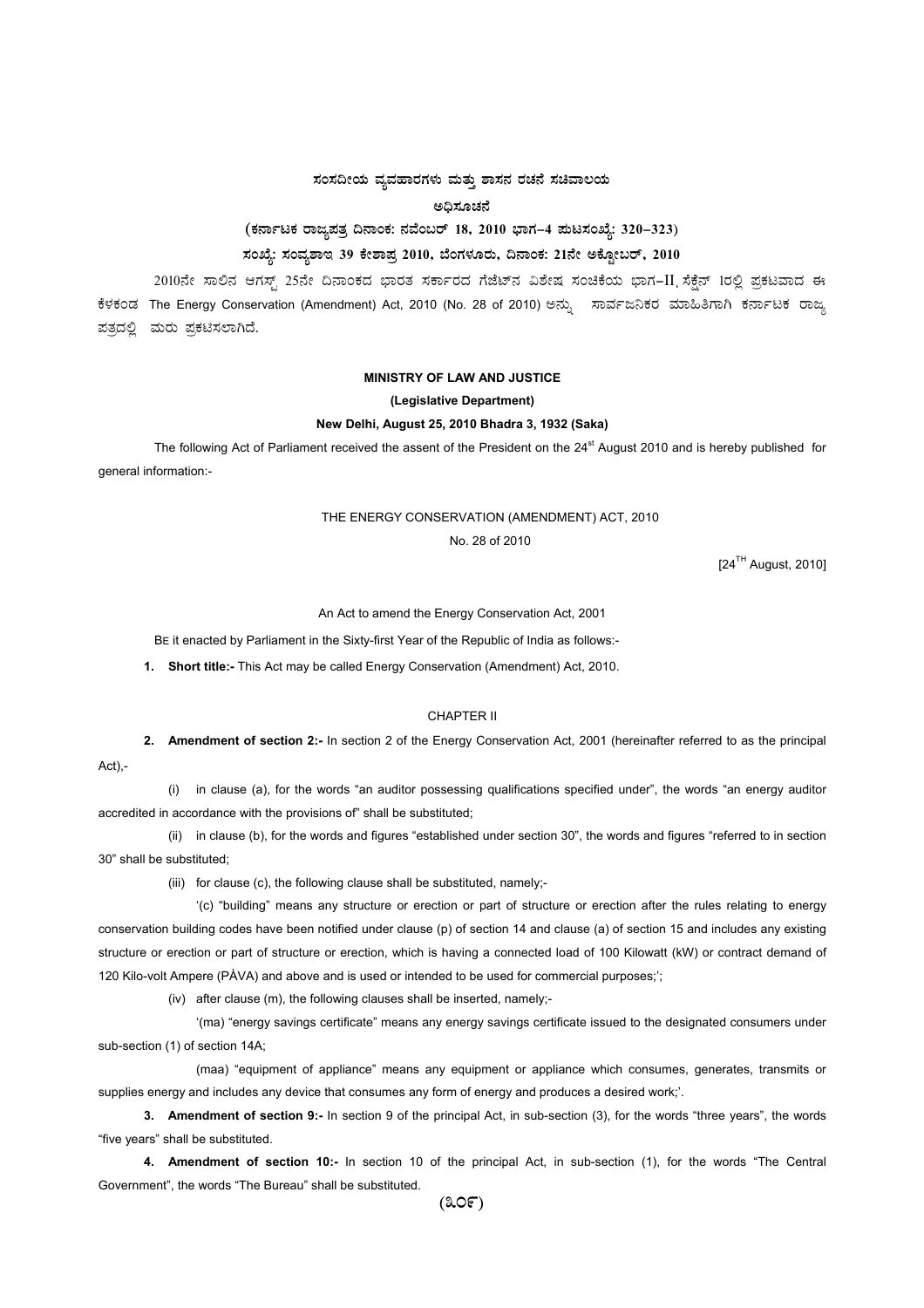# $\,$ ಸಂಸದೀಯ ವ್ಯವಹಾರಗಳು ಮತ್ತು ಶಾಸನ ರಚನೆ ಸಚಿವಾಲಯ

**C¢ü¸ÀÆZÀ£É** 

(ಕರ್ನಾಟಕ ರಾಜ್ಯಪತ್ರ ದಿನಾಂಕ: ನವೆಂಬರ್ 18, 2010 ಭಾಗ–4 **ಮಟಸಂಖ್ಯೆ: 320–323**)

# ಸಂಖ್ಯೆ: ಸಂವ್ಯಶಾಇ 39 ಕೇಶಾಪ್ರ 2010, ಬೆಂಗಳೂರು, ದಿನಾಂಕ: 21ನೇ ಅಕ್ಟೋಬರ್, 2010

2010ನೇ ಸಾಲಿನ ಆಗಸ್ಟ್ 25ನೇ ದಿನಾಂಕದ ಭಾರತ ಸರ್ಕಾರದ ಗೆಜೆಟ್ನ ವಿಶೇಷ ಸಂಚಿಕೆಯ ಭಾಗ–II ಸೆಕ್ಷೆನ್ 1ರಲ್ಲಿ ಪ್ರಕಟವಾದ ಈ ಕೆಳಕಂಡ The Energy Conservation (Amendment) Act, 2010 (No. 28 of 2010) ಅನ್ಸು ಸಾರ್ವಜನಿಕರ ಮಾಹಿತಿಗಾಗಿ ಕರ್ನಾಟಕ ರಾಜ್ಞ ಪತ್ರದಲ್ಲಿ ಮರು ಪ್ರಕಟಿಸಲಾಗಿದೆ.

#### **MINISTRY OF LAW AND JUSTICE**

#### **(Legislative Department)**

#### **New Delhi, August 25, 2010 Bhadra 3, 1932 (Saka)**

The following Act of Parliament received the assent of the President on the 24<sup>st</sup> August 2010 and is hereby published for general information:-

## THE ENERGY CONSERVATION (AMENDMENT) ACT, 2010

No. 28 of 2010

 $[24<sup>TH</sup>$  August, 2010]

An Act to amend the Energy Conservation Act, 2001

BE it enacted by Parliament in the Sixty-first Year of the Republic of India as follows:-

**1. Short title:-** This Act may be called Energy Conservation (Amendment) Act, 2010.

### CHAPTER II

**2. Amendment of section 2:-** In section 2 of the Energy Conservation Act, 2001 (hereinafter referred to as the principal Act),-

(i) in clause (a), for the words "an auditor possessing qualifications specified under", the words "an energy auditor accredited in accordance with the provisions of" shall be substituted;

(ii) in clause (b), for the words and figures "established under section 30", the words and figures "referred to in section 30" shall be substituted;

(iii) for clause (c), the following clause shall be substituted, namely;-

'(c) "building" means any structure or erection or part of structure or erection after the rules relating to energy conservation building codes have been notified under clause (p) of section 14 and clause (a) of section 15 and includes any existing structure or erection or part of structure or erection, which is having a connected load of 100 Kilowatt (kW) or contract demand of 120 Kilo-volt Ampere (PÀVA) and above and is used or intended to be used for commercial purposes;';

(iv) after clause (m), the following clauses shall be inserted, namely;-

'(ma) "energy savings certificate" means any energy savings certificate issued to the designated consumers under sub-section (1) of section 14A;

(maa) "equipment of appliance" means any equipment or appliance which consumes, generates, transmits or supplies energy and includes any device that consumes any form of energy and produces a desired work;'.

**3. Amendment of section 9:-** In section 9 of the principal Act, in sub-section (3), for the words "three years", the words "five years" shall be substituted.

**4. Amendment of section 10:-** In section 10 of the principal Act, in sub-section (1), for the words "The Central Government", the words "The Bureau" shall be substituted.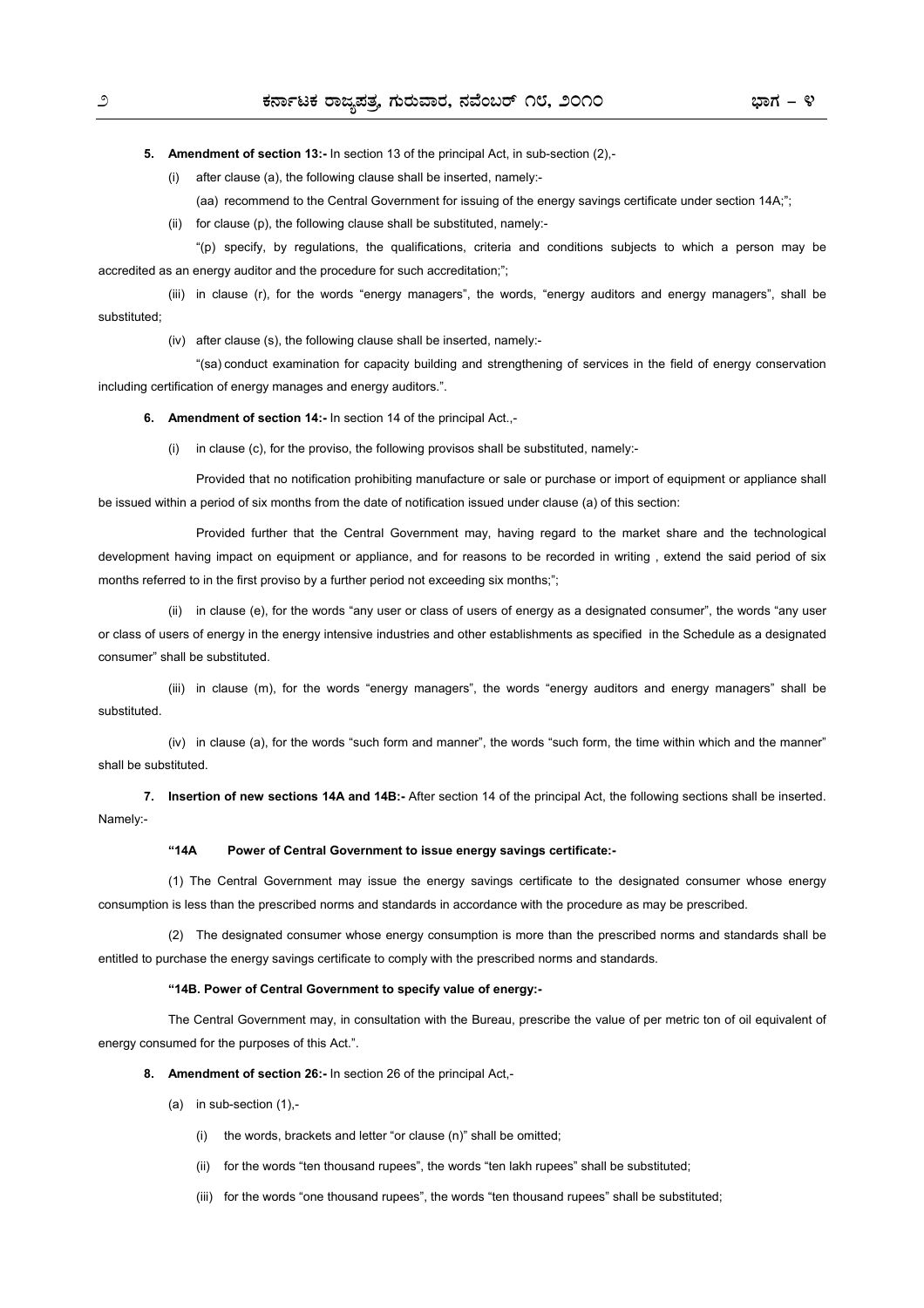**5. Amendment of section 13:-** In section 13 of the principal Act, in sub-section (2),-

(i) after clause (a), the following clause shall be inserted, namely:-

(aa) recommend to the Central Government for issuing of the energy savings certificate under section 14A;";

(ii) for clause (p), the following clause shall be substituted, namely:-

 "(p) specify, by regulations, the qualifications, criteria and conditions subjects to which a person may be accredited as an energy auditor and the procedure for such accreditation;";

 (iii) in clause (r), for the words "energy managers", the words, "energy auditors and energy managers", shall be substituted;

(iv) after clause (s), the following clause shall be inserted, namely:-

 "(sa) conduct examination for capacity building and strengthening of services in the field of energy conservation including certification of energy manages and energy auditors.".

**6. Amendment of section 14:-** In section 14 of the principal Act.,-

(i) in clause (c), for the proviso, the following provisos shall be substituted, namely:-

 Provided that no notification prohibiting manufacture or sale or purchase or import of equipment or appliance shall be issued within a period of six months from the date of notification issued under clause (a) of this section:

 Provided further that the Central Government may, having regard to the market share and the technological development having impact on equipment or appliance, and for reasons to be recorded in writing , extend the said period of six months referred to in the first proviso by a further period not exceeding six months;";

 (ii) in clause (e), for the words "any user or class of users of energy as a designated consumer", the words "any user or class of users of energy in the energy intensive industries and other establishments as specified in the Schedule as a designated consumer" shall be substituted.

 (iii) in clause (m), for the words "energy managers", the words "energy auditors and energy managers" shall be substituted.

 (iv) in clause (a), for the words "such form and manner", the words "such form, the time within which and the manner" shall be substituted.

**7. Insertion of new sections 14A and 14B:-** After section 14 of the principal Act, the following sections shall be inserted. Namely:-

#### **"14A Power of Central Government to issue energy savings certificate:-**

(1) The Central Government may issue the energy savings certificate to the designated consumer whose energy consumption is less than the prescribed norms and standards in accordance with the procedure as may be prescribed.

 (2) The designated consumer whose energy consumption is more than the prescribed norms and standards shall be entitled to purchase the energy savings certificate to comply with the prescribed norms and standards.

#### **"14B. Power of Central Government to specify value of energy:-**

The Central Government may, in consultation with the Bureau, prescribe the value of per metric ton of oil equivalent of energy consumed for the purposes of this Act.".

**8. Amendment of section 26:-** In section 26 of the principal Act,-

(a) in sub-section  $(1)$ ,-

(i) the words, brackets and letter "or clause (n)" shall be omitted;

(ii) for the words "ten thousand rupees", the words "ten lakh rupees" shall be substituted;

(iii) for the words "one thousand rupees", the words "ten thousand rupees" shall be substituted;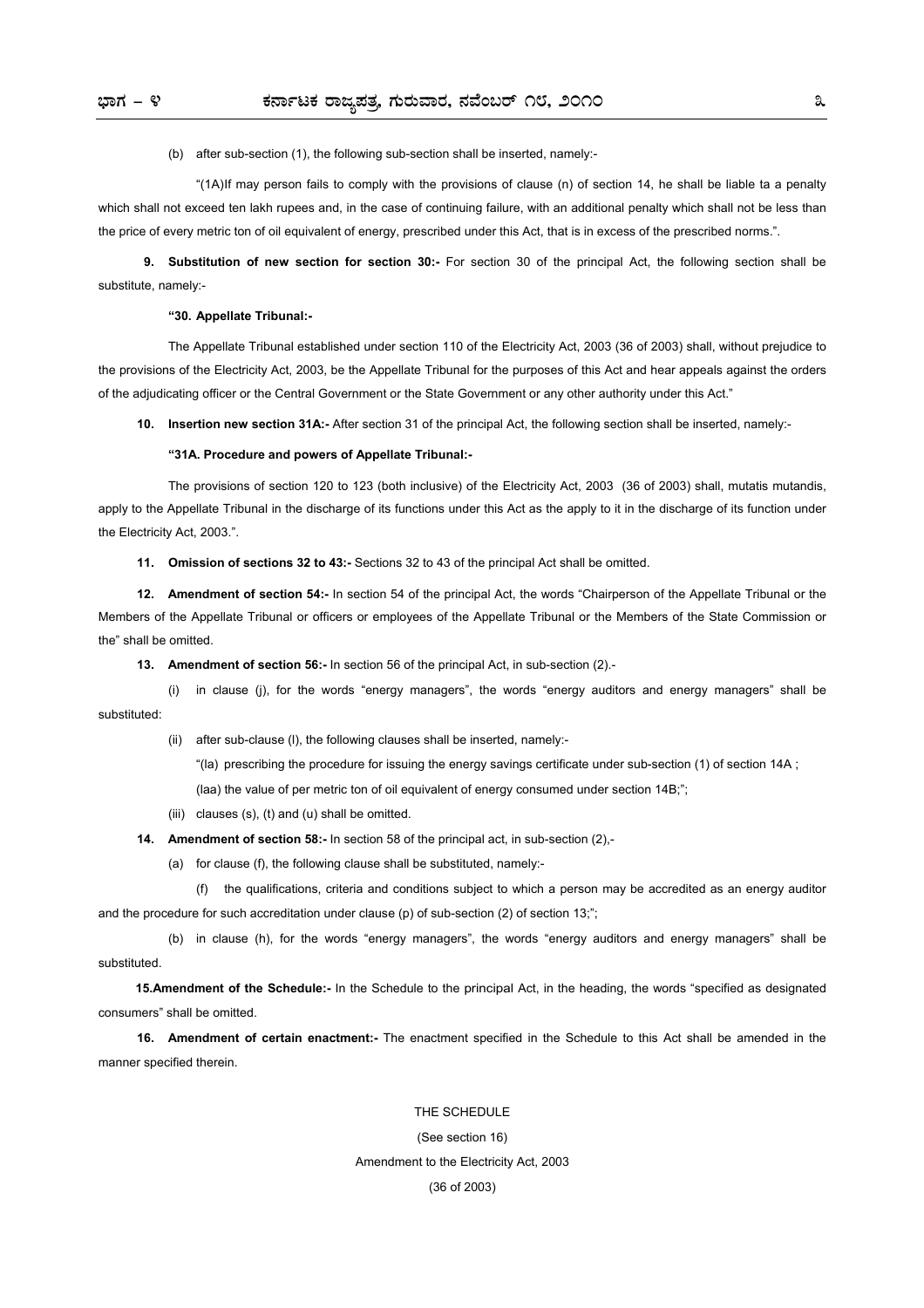(b) after sub-section (1), the following sub-section shall be inserted, namely:-

 "(1A) If may person fails to comply with the provisions of clause (n) of section 14, he shall be liable ta a penalty which shall not exceed ten lakh rupees and, in the case of continuing failure, with an additional penalty which shall not be less than the price of every metric ton of oil equivalent of energy, prescribed under this Act, that is in excess of the prescribed norms.".

**9. Substitution of new section for section 30:-** For section 30 of the principal Act, the following section shall be substitute, namely:-

#### **"30. Appellate Tribunal:-**

The Appellate Tribunal established under section 110 of the Electricity Act, 2003 (36 of 2003) shall, without prejudice to the provisions of the Electricity Act, 2003, be the Appellate Tribunal for the purposes of this Act and hear appeals against the orders of the adjudicating officer or the Central Government or the State Government or any other authority under this Act."

**10. Insertion new section 31A:-** After section 31 of the principal Act, the following section shall be inserted, namely:-

#### **"31A. Procedure and powers of Appellate Tribunal:-**

The provisions of section 120 to 123 (both inclusive) of the Electricity Act, 2003 (36 of 2003) shall, mutatis mutandis, apply to the Appellate Tribunal in the discharge of its functions under this Act as the apply to it in the discharge of its function under the Electricity Act, 2003.".

**11. Omission of sections 32 to 43:-** Sections 32 to 43 of the principal Act shall be omitted.

**12. Amendment of section 54:-** In section 54 of the principal Act, the words "Chairperson of the Appellate Tribunal or the Members of the Appellate Tribunal or officers or employees of the Appellate Tribunal or the Members of the State Commission or the" shall be omitted.

**13. Amendment of section 56:-** In section 56 of the principal Act, in sub-section (2).-

 (i) in clause (j), for the words "energy managers", the words "energy auditors and energy managers" shall be substituted:

(ii) after sub-clause (l), the following clauses shall be inserted, namely:-

"(la) prescribing the procedure for issuing the energy savings certificate under sub-section (1) of section 14A ;

(laa) the value of per metric ton of oil equivalent of energy consumed under section 14B;";

(iii) clauses (s), (t) and (u) shall be omitted.

**14.** Amendment of section 58:- In section 58 of the principal act, in sub-section (2),-

(a) for clause (f), the following clause shall be substituted, namely:-

 (f) the qualifications, criteria and conditions subject to which a person may be accredited as an energy auditor and the procedure for such accreditation under clause (p) of sub-section (2) of section 13;";

 (b) in clause (h), for the words "energy managers", the words "energy auditors and energy managers" shall be substituted.

**15.Amendment of the Schedule:-** In the Schedule to the principal Act, in the heading, the words "specified as designated consumers" shall be omitted.

**16. Amendment of certain enactment:-** The enactment specified in the Schedule to this Act shall be amended in the manner specified therein.

### THE SCHEDULE

(See section 16)

#### Amendment to the Electricity Act, 2003

(36 of 2003)